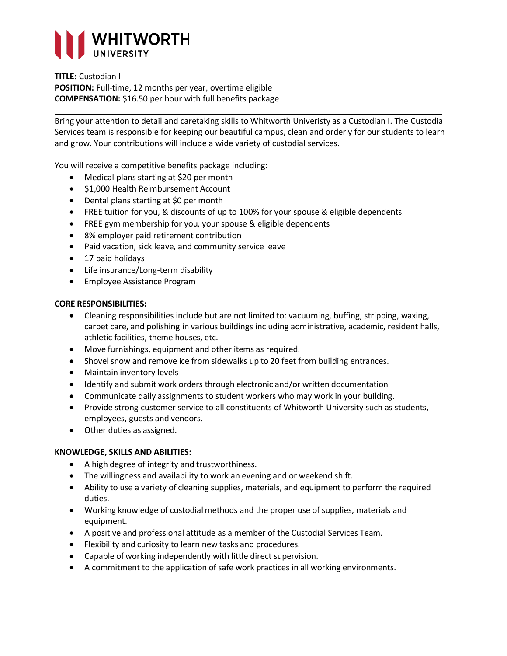

#### **TITLE:** Custodian I

**POSITION:** Full-time, 12 months per year, overtime eligible **COMPENSATION:** \$16.50 per hour with full benefits package

Bring your attention to detail and caretaking skills to Whitworth Univeristy as a Custodian I. The Custodial Services team is responsible for keeping our beautiful campus, clean and orderly for our students to learn and grow. Your contributions will include a wide variety of custodial services.

You will receive a competitive benefits package including:

- Medical plans starting at \$20 per month
- \$1,000 Health Reimbursement Account
- Dental plans starting at \$0 per month
- FREE tuition for you, & discounts of up to 100% for your spouse & eligible dependents
- FREE gym membership for you, your spouse & eligible dependents
- 8% employer paid retirement contribution
- Paid vacation, sick leave, and community service leave
- 17 paid holidays
- Life insurance/Long-term disability
- Employee Assistance Program

### **CORE RESPONSIBILITIES:**

- Cleaning responsibilities include but are not limited to: vacuuming, buffing, stripping, waxing, carpet care, and polishing in various buildings including administrative, academic, resident halls, athletic facilities, theme houses, etc.
- Move furnishings, equipment and other items as required.
- Shovel snow and remove ice from sidewalks up to 20 feet from building entrances.
- Maintain inventory levels
- Identify and submit work orders through electronic and/or written documentation
- Communicate daily assignments to student workers who may work in your building.
- Provide strong customer service to all constituents of Whitworth University such as students, employees, guests and vendors.
- Other duties as assigned.

# **KNOWLEDGE, SKILLS AND ABILITIES:**

- A high degree of integrity and trustworthiness.
- The willingness and availability to work an evening and or weekend shift.
- Ability to use a variety of cleaning supplies, materials, and equipment to perform the required duties.
- Working knowledge of custodial methods and the proper use of supplies, materials and equipment.
- A positive and professional attitude as a member of the Custodial Services Team.
- Flexibility and curiosity to learn new tasks and procedures.
- Capable of working independently with little direct supervision.
- A commitment to the application of safe work practices in all working environments.